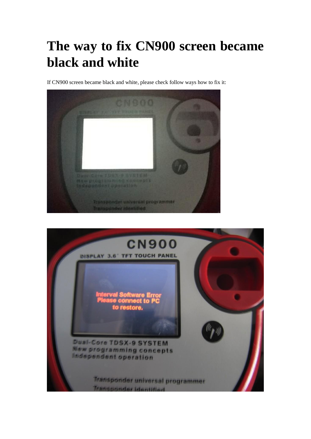## **The way to fix CN900 screen became black and white**

If CN900 screen became black and white, please check follow ways how to fix it:



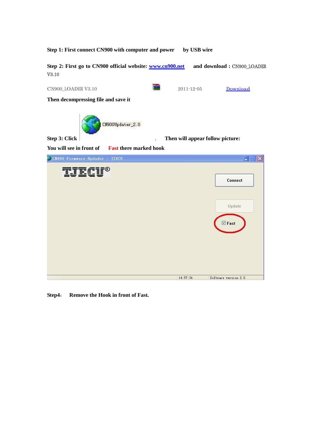

**Step4**: **Remove the Hook in front of Fast.**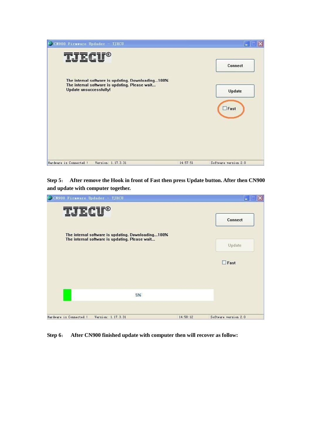

**Step 5**: **After remove the Hook in front of Fast then press Update button. After then CN900 and update with computer together.** 

| CN900 Firmware Updader - TJECU                                                                       |          | m                    |
|------------------------------------------------------------------------------------------------------|----------|----------------------|
| TT FIFO                                                                                              |          | Connect              |
| The internal software is updating. Downloading100%<br>The internal software is updating. Please wait |          | Update               |
|                                                                                                      |          | $\Box$ Fast          |
| 5%                                                                                                   |          |                      |
| Hardware is Connected !<br>Version: 1.17.3.31                                                        | 14:58:12 | Software version 2.0 |

**Step 6**: **After CN900 finished update with computer then will recover as follow:**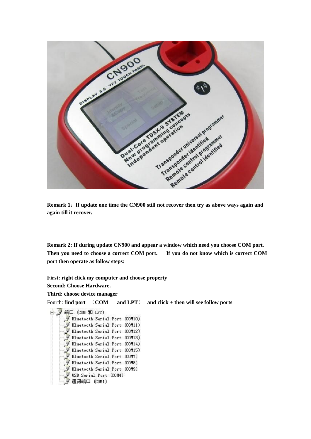

**Remark 1**:**If update one time the CN900 still not recover then try as above ways again and again till it recover.** 

**Remark 2: If during update CN900 and appear a window which need you choose COM port. Then you need to choose a correct COM port. If you do not know which is correct COM port then operate as follow steps:** 

**First: right click my computer and choose property Second: Choose Hardware. Third: choose device manager**  Fourth: f**ind port** (**COM and LPT**) **and click + then will see follow ports** 白、y端口 (COM 和 LPT) Bluetooth Serial Port (COM10) Bluetooth Serial Port (COM11) Bluetooth Serial Port (COM12) Bluetooth Serial Port (COM13) Bluetooth Serial Port (COM14) Bluetooth Serial Port (COM15) Bluetooth Serial Port (COM7) Bluetooth Serial Port (COM8) Į Bluetooth Serial Port (COM9) USB Serial Port (COM4) 9 通讯端口 (COM1)